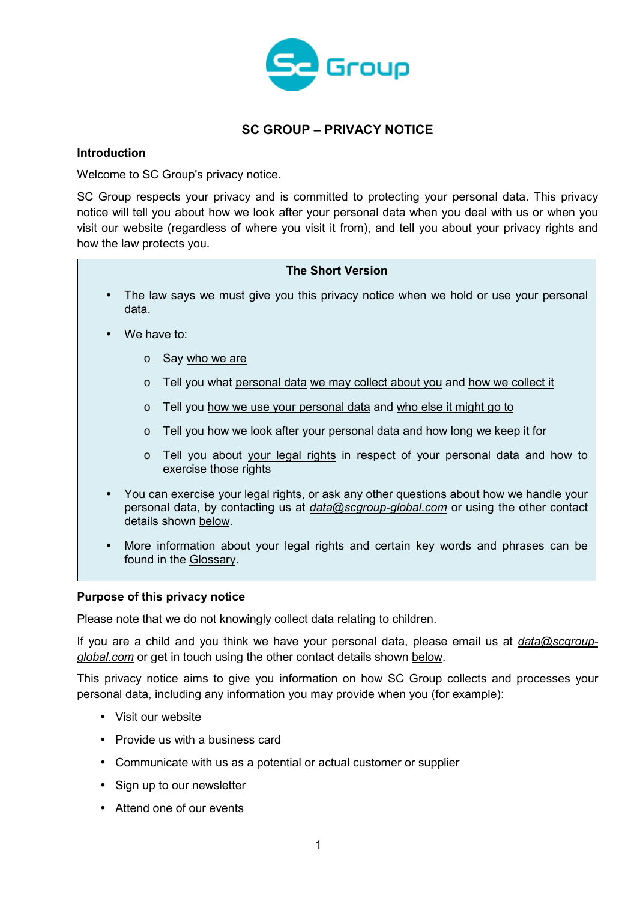

# **SC GROUP – PRIVACY NOTICE**

### **Introduction**

Welcome to SC Group's privacy notice.

SC Group respects your privacy and is committed to protecting your personal data. This privacy notice will tell you about how we look after your personal data when you deal with us or when you visit our website (regardless of where you visit it from), and tell you about your privacy rights and how the law protects you.

## **The Short Version**

- The law says we must give you this privacy notice when we hold or use your personal data.
- We have to:
	- o Say who we are
	- o Tell you what [personal data](#page-1-0) [we may collect about you](#page-1-0) and [how we collect it](#page-2-0)
	- o Tell you [how we use your personal data](#page-3-0) and [who else it might go to](#page-6-0)
	- o Tell you [how we look after your personal data](#page-7-0) and [how long we keep it for](#page-7-0)
	- o Tell you about [your legal rights](#page-7-0) in respect of your personal data and how to exercise those rights
- You can exercise your legal rights, or ask any other questions about how we handle your personal data, by contacting us at *[data@scgroup-global.com](mailto:data@scgroup-global.com)* or using the other contact details shown [below.](#page-1-0)
- More information about your legal rights and certain key words and phrases can be found in th[e Glossary](#page-9-0).

## **Purpose of this privacy notice**

Please note that we do not knowingly collect data relating to children.

[If you are a child and you think we have your personal data, please email us at](data@scgroup-global.com) *data@scgroupglobal.com* or get in touch using the other contact details shown [below.](#page-1-0) 

This privacy notice aims to give you information on how SC Group collects and processes your personal data, including any information you may provide when you (for example):

- Visit our website
- Provide us with a business card
- Communicate with us as a potential or actual customer or supplier
- Sign up to our newsletter
- Attend one of our events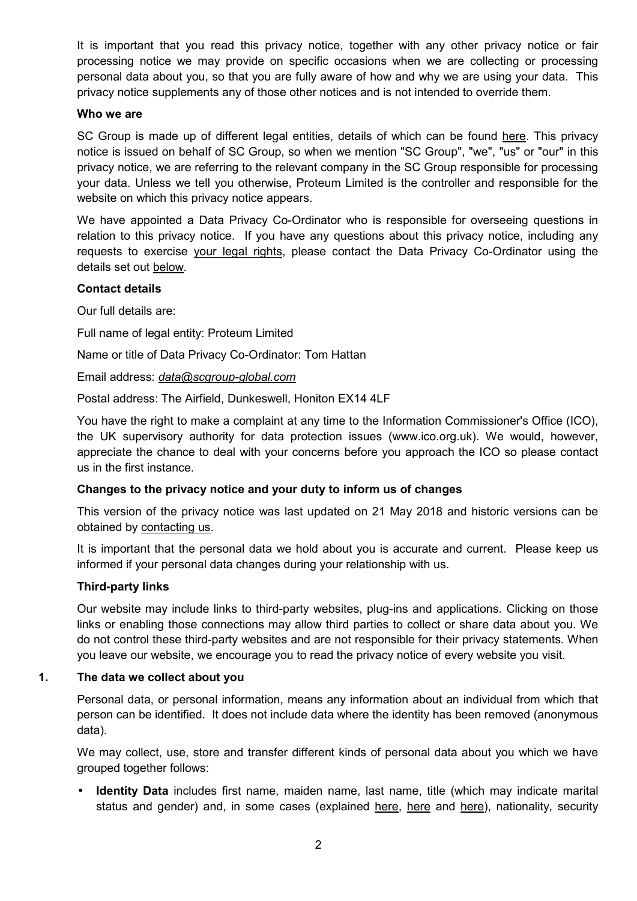<span id="page-1-0"></span>It is important that you read this privacy notice, together with any other privacy notice or fair processing notice we may provide on specific occasions when we are collecting or processing personal data about you, so that you are fully aware of how and why we are using your data. This privacy notice supplements any of those other notices and is not intended to override them.

## **Who we are**

SC Group is made up of different legal entities, details of which can be found [here.](https://scgroup-global.com/group-companies/) This privacy notice is issued on behalf of SC Group, so when we mention "SC Group", "we", "us" or "our" in this privacy notice, we are referring to the relevant company in the SC Group responsible for processing your data. Unless we tell you otherwise, Proteum Limited is the controller and responsible for the website on which this privacy notice appears.

We have appointed a Data Privacy Co-Ordinator who is responsible for overseeing questions in relation to this privacy notice. If you have any questions about this privacy notice, including any requests to exercise [your legal rights,](#page-7-0) please contact the Data Privacy Co-Ordinator using the details set out below.

# **Contact details**

Our full details are:

Full name of legal entity: Proteum Limited

Name or title of Data Privacy Co-Ordinator: Tom Hattan

Email address: *[data@scgroup-global.com](mailto:data@scgroup-global.com)*

Postal address: The Airfield, Dunkeswell, Honiton EX14 4LF

You have the right to make a complaint at any time to the Information Commissioner's Office (ICO), the UK supervisory authority for data protection issues (<www.ico.org.uk>). We would, however, appreciate the chance to deal with your concerns before you approach the ICO so please contact us in the first instance.

# **Changes to the privacy notice and your duty to inform us of changes**

This version of the privacy notice was last updated on 21 May 2018 and historic versions can be obtained by contacting us.

It is important that the personal data we hold about you is accurate and current. Please keep us informed if your personal data changes during your relationship with us.

## **Third-party links**

Our website may include links to third-party websites, plug-ins and applications. Clicking on those links or enabling those connections may allow third parties to collect or share data about you. We do not control these third-party websites and are not responsible for their privacy statements. When you leave our website, we encourage you to read the privacy notice of every website you visit.

## **1. The data we collect about you**

Personal data, or personal information, means any information about an individual from which that person can be identified. It does not include data where the identity has been removed (anonymous data).

We may collect, use, store and transfer different kinds of personal data about you which we have grouped together follows:

• **Identity Data** includes first name, maiden name, last name, title (which may indicate marital status and gender) and, in some cases (explained [here,](#page-3-0) [here](#page-3-0) and [here\)](#page-5-0), nationality, security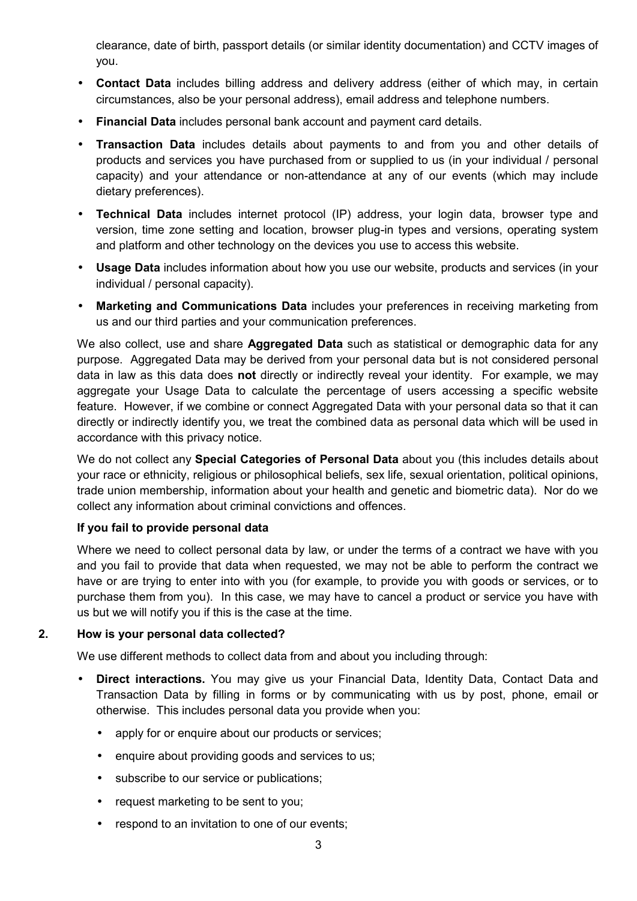<span id="page-2-0"></span>clearance, date of birth, passport details (or similar identity documentation) and CCTV images of you.

- **Contact Data** includes billing address and delivery address (either of which may, in certain circumstances, also be your personal address), email address and telephone numbers.
- **Financial Data** includes personal bank account and payment card details.
- **Transaction Data** includes details about payments to and from you and other details of products and services you have purchased from or supplied to us (in your individual / personal capacity) and your attendance or non-attendance at any of our events (which may include dietary preferences).
- **Technical Data** includes internet protocol (IP) address, your login data, browser type and version, time zone setting and location, browser plug-in types and versions, operating system and platform and other technology on the devices you use to access this website.
- **Usage Data** includes information about how you use our website, products and services (in your individual / personal capacity).
- **Marketing and Communications Data** includes your preferences in receiving marketing from us and our third parties and your communication preferences.

We also collect, use and share **Aggregated Data** such as statistical or demographic data for any purpose. Aggregated Data may be derived from your personal data but is not considered personal data in law as this data does **not** directly or indirectly reveal your identity. For example, we may aggregate your Usage Data to calculate the percentage of users accessing a specific website feature. However, if we combine or connect Aggregated Data with your personal data so that it can directly or indirectly identify you, we treat the combined data as personal data which will be used in accordance with this privacy notice.

We do not collect any **Special Categories of Personal Data** about you (this includes details about your race or ethnicity, religious or philosophical beliefs, sex life, sexual orientation, political opinions, trade union membership, information about your health and genetic and biometric data). Nor do we collect any information about criminal convictions and offences.

## **If you fail to provide personal data**

Where we need to collect personal data by law, or under the terms of a contract we have with you and you fail to provide that data when requested, we may not be able to perform the contract we have or are trying to enter into with you (for example, to provide you with goods or services, or to purchase them from you). In this case, we may have to cancel a product or service you have with us but we will notify you if this is the case at the time.

## **2. How is your personal data collected?**

We use different methods to collect data from and about you including through:

- **Direct interactions.** You may give us your Financial Data, Identity Data, Contact Data and Transaction Data by filling in forms or by communicating with us by post, phone, email or otherwise. This includes personal data you provide when you:
	- apply for or enquire about our products or services;
	- enquire about providing goods and services to us;
	- subscribe to our service or publications;
	- request marketing to be sent to you;
	- respond to an invitation to one of our events;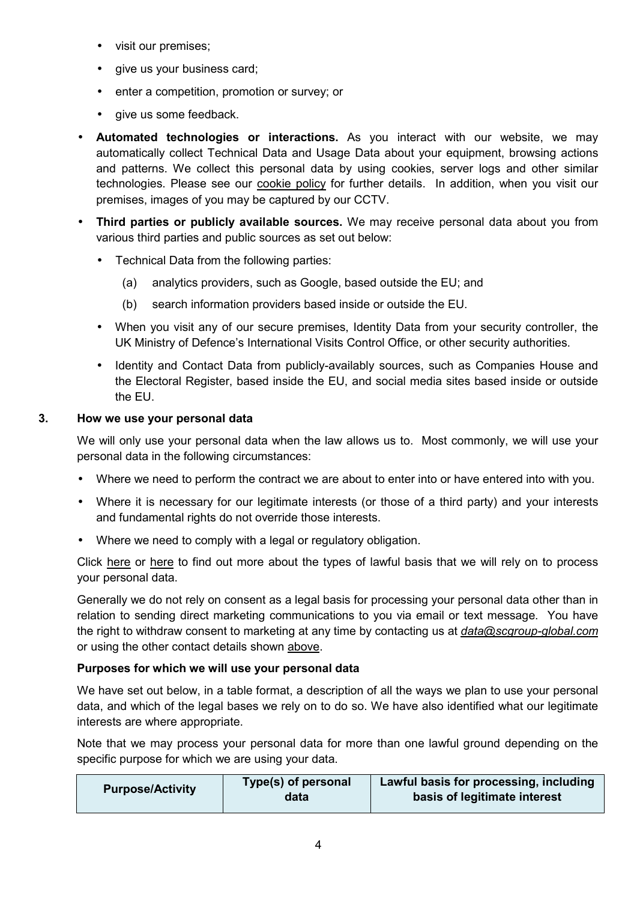- <span id="page-3-0"></span>• visit our premises;
- give us your business card;
- enter a competition, promotion or survey; or
- give us some feedback.
- **Automated technologies or interactions.** As you interact with our website, we may automatically collect Technical Data and Usage Data about your equipment, browsing actions and patterns. We collect this personal data by using cookies, server logs and other similar technologies. Please see our [cookie policy](https://scgroup-global.com/cookie-policy/) for further details. In addition, when you visit our premises, images of you may be captured by our CCTV.
- **Third parties or publicly available sources.** We may receive personal data about you from various third parties and public sources as set out below:
	- Technical Data from the following parties:
		- (a) analytics providers, such as Google, based outside the EU; and
		- (b) search information providers based inside or outside the EU.
	- When you visit any of our secure premises, Identity Data from your security controller, the UK Ministry of Defence's International Visits Control Office, or other security authorities.
	- Identity and Contact Data from publicly-availably sources, such as Companies House and the Electoral Register, based inside the EU, and social media sites based inside or outside the EU.

## **3. How we use your personal data**

We will only use your personal data when the law allows us to. Most commonly, we will use your personal data in the following circumstances:

- Where we need to perform the contract we are about to enter into or have entered into with you.
- Where it is necessary for our legitimate interests (or those of a third party) and your interests and fundamental rights do not override those interests.
- Where we need to comply with a legal or regulatory obligation.

Click [here](https://ico.org.uk/for-organisations/guide-to-the-general-data-protection-regulation-gdpr/lawful-basis-for-processing/) or [here](#page-9-0) to find out more about the types of lawful basis that we will rely on to process your personal data.

Generally we do not rely on consent as a legal basis for processing your personal data other than in relation to sending direct marketing communications to you via email or text message. You have the right to withdraw consent to marketing at any time by contacting us at *[data@scgroup-global.com](mailto:data@scgroup-global.com)* or using the other contact details shown [above.](#page-1-0)

## **Purposes for which we will use your personal data**

We have set out below, in a table format, a description of all the ways we plan to use your personal data, and which of the legal bases we rely on to do so. We have also identified what our legitimate interests are where appropriate.

Note that we may process your personal data for more than one lawful ground depending on the specific purpose for which we are using your data.

| <b>Purpose/Activity</b> | Type(s) of personal | Lawful basis for processing, including |
|-------------------------|---------------------|----------------------------------------|
|                         | data                | basis of legitimate interest           |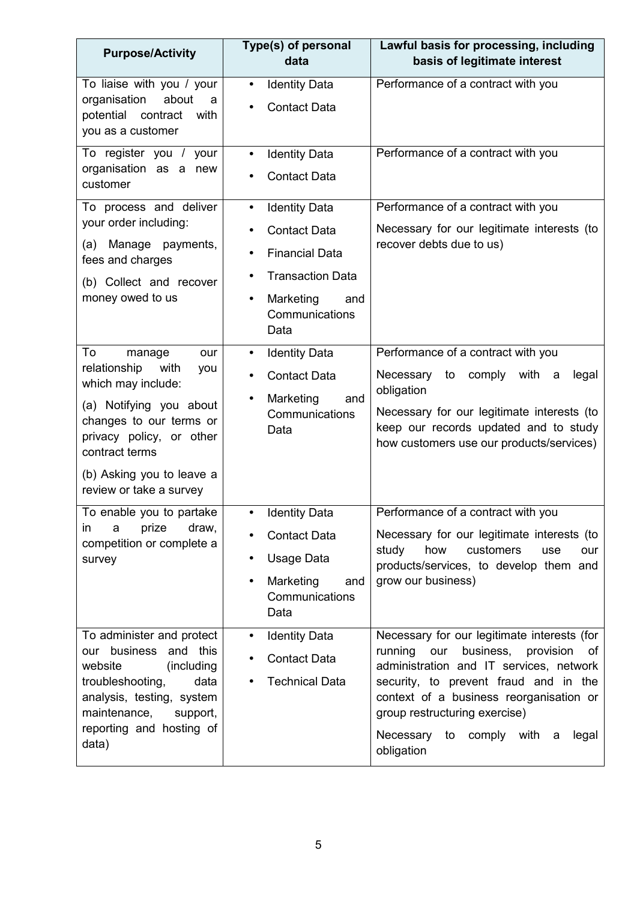| <b>Purpose/Activity</b>                                                                                                                                                                                                              | Type(s) of personal<br>data                                                                                                                                             | Lawful basis for processing, including<br>basis of legitimate interest                                                                                                                                                                                                                                                |
|--------------------------------------------------------------------------------------------------------------------------------------------------------------------------------------------------------------------------------------|-------------------------------------------------------------------------------------------------------------------------------------------------------------------------|-----------------------------------------------------------------------------------------------------------------------------------------------------------------------------------------------------------------------------------------------------------------------------------------------------------------------|
| To liaise with you / your<br>organisation<br>about<br>a<br>potential<br>contract<br>with<br>you as a customer                                                                                                                        | <b>Identity Data</b><br>$\bullet$<br><b>Contact Data</b>                                                                                                                | Performance of a contract with you                                                                                                                                                                                                                                                                                    |
| To register you /<br>your<br>organisation as a<br>new<br>customer                                                                                                                                                                    | <b>Identity Data</b><br>$\bullet$<br><b>Contact Data</b>                                                                                                                | Performance of a contract with you                                                                                                                                                                                                                                                                                    |
| To process and deliver<br>your order including:<br>Manage payments,<br>(a)<br>fees and charges<br>(b) Collect and recover<br>money owed to us                                                                                        | <b>Identity Data</b><br>$\bullet$<br><b>Contact Data</b><br><b>Financial Data</b><br><b>Transaction Data</b><br>Marketing<br>and<br>$\bullet$<br>Communications<br>Data | Performance of a contract with you<br>Necessary for our legitimate interests (to<br>recover debts due to us)                                                                                                                                                                                                          |
| To<br>manage<br>our<br>relationship<br>with<br>you<br>which may include:<br>(a) Notifying you about<br>changes to our terms or<br>privacy policy, or other<br>contract terms<br>(b) Asking you to leave a<br>review or take a survey | <b>Identity Data</b><br>$\bullet$<br><b>Contact Data</b><br>Marketing<br>and<br>$\bullet$<br>Communications<br>Data                                                     | Performance of a contract with you<br>Necessary<br>comply with<br>to<br>legal<br>a<br>obligation<br>Necessary for our legitimate interests (to<br>keep our records updated and to study<br>how customers use our products/services)                                                                                   |
| To enable you to partake<br>draw,<br>in<br>prize<br>a<br>competition or complete a<br>survey                                                                                                                                         | <b>Identity Data</b><br>$\bullet$<br><b>Contact Data</b><br>Usage Data<br>Marketing<br>and<br>$\bullet$<br>Communications<br>Data                                       | Performance of a contract with you<br>Necessary for our legitimate interests (to<br>customers<br>study<br>how<br>use<br>our<br>products/services, to develop them and<br>grow our business)                                                                                                                           |
| To administer and protect<br>business<br>and this<br>our<br>website<br>(including)<br>troubleshooting,<br>data<br>analysis, testing, system<br>maintenance,<br>support,<br>reporting and hosting of<br>data)                         | <b>Identity Data</b><br>$\bullet$<br><b>Contact Data</b><br><b>Technical Data</b>                                                                                       | Necessary for our legitimate interests (for<br>business,<br>running<br>our<br>provision<br>of<br>administration and IT services, network<br>security, to prevent fraud and in the<br>context of a business reorganisation or<br>group restructuring exercise)<br>Necessary to comply with<br>legal<br>a<br>obligation |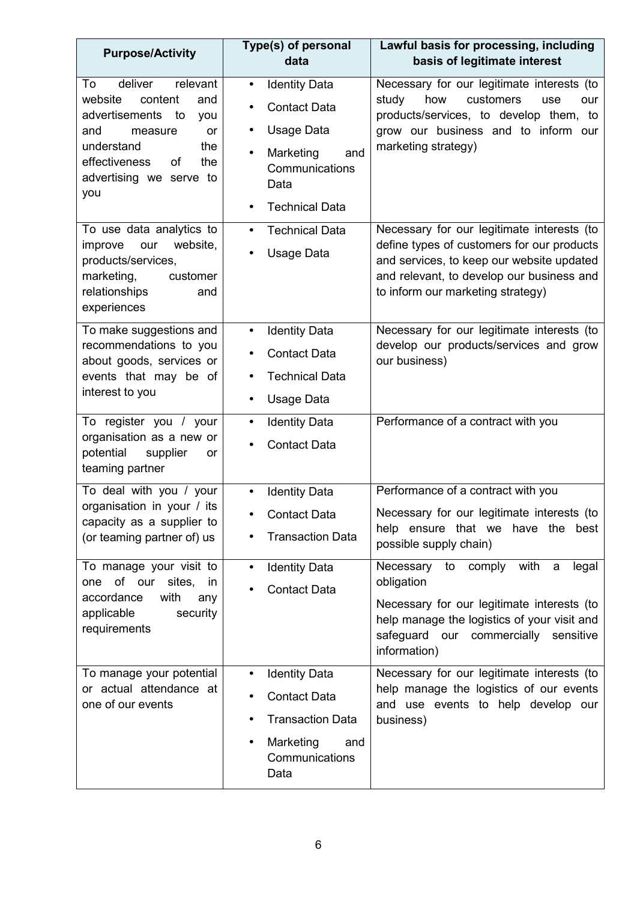<span id="page-5-0"></span>

| <b>Purpose/Activity</b>                                                                                                                                                                                          | Type(s) of personal<br>data                                                                                                                                                          | Lawful basis for processing, including<br>basis of legitimate interest                                                                                                                                                  |
|------------------------------------------------------------------------------------------------------------------------------------------------------------------------------------------------------------------|--------------------------------------------------------------------------------------------------------------------------------------------------------------------------------------|-------------------------------------------------------------------------------------------------------------------------------------------------------------------------------------------------------------------------|
| deliver<br>To<br>relevant<br>website<br>content<br>and<br>advertisements<br>to<br>you<br>and<br>measure<br><b>or</b><br>understand<br>the<br>effectiveness<br><b>of</b><br>the<br>advertising we serve to<br>you | <b>Identity Data</b><br>$\bullet$<br><b>Contact Data</b><br>$\bullet$<br>Usage Data<br>Marketing<br>and<br>$\bullet$<br>Communications<br>Data<br><b>Technical Data</b><br>$\bullet$ | Necessary for our legitimate interests (to<br>how<br>customers<br>study<br>use<br>our<br>products/services, to develop them, to<br>grow our business and to inform our<br>marketing strategy)                           |
| To use data analytics to<br>website,<br>improve<br>our<br>products/services,<br>marketing,<br>customer<br>relationships<br>and<br>experiences                                                                    | <b>Technical Data</b><br>$\bullet$<br>Usage Data                                                                                                                                     | Necessary for our legitimate interests (to<br>define types of customers for our products<br>and services, to keep our website updated<br>and relevant, to develop our business and<br>to inform our marketing strategy) |
| To make suggestions and<br>recommendations to you<br>about goods, services or<br>events that may be of<br>interest to you                                                                                        | <b>Identity Data</b><br>$\bullet$<br><b>Contact Data</b><br><b>Technical Data</b><br>$\bullet$<br>Usage Data<br>$\bullet$                                                            | Necessary for our legitimate interests (to<br>develop our products/services and grow<br>our business)                                                                                                                   |
| To register you / your<br>organisation as a new or<br>potential<br>supplier<br>or<br>teaming partner                                                                                                             | <b>Identity Data</b><br>$\bullet$<br><b>Contact Data</b>                                                                                                                             | Performance of a contract with you                                                                                                                                                                                      |
| To deal with you / your<br>organisation in your / its<br>capacity as a supplier to<br>(or teaming partner of) us                                                                                                 | <b>Identity Data</b><br>$\bullet$<br><b>Contact Data</b><br><b>Transaction Data</b>                                                                                                  | Performance of a contract with you<br>Necessary for our legitimate interests (to<br>help ensure that we<br>have the<br>best<br>possible supply chain)                                                                   |
| To manage your visit to<br>of our sites,<br>one<br>in.<br>with<br>accordance<br>any<br>applicable<br>security<br>requirements                                                                                    | <b>Identity Data</b><br>$\bullet$<br><b>Contact Data</b>                                                                                                                             | with<br>Necessary<br>comply<br>to<br>a<br>legal<br>obligation<br>Necessary for our legitimate interests (to<br>help manage the logistics of your visit and<br>safeguard our<br>commercially sensitive<br>information)   |
| To manage your potential<br>or actual attendance at<br>one of our events                                                                                                                                         | <b>Identity Data</b><br>$\bullet$<br><b>Contact Data</b><br><b>Transaction Data</b><br>Marketing<br>and<br>$\bullet$<br>Communications<br>Data                                       | Necessary for our legitimate interests (to<br>help manage the logistics of our events<br>and use events to help develop our<br>business)                                                                                |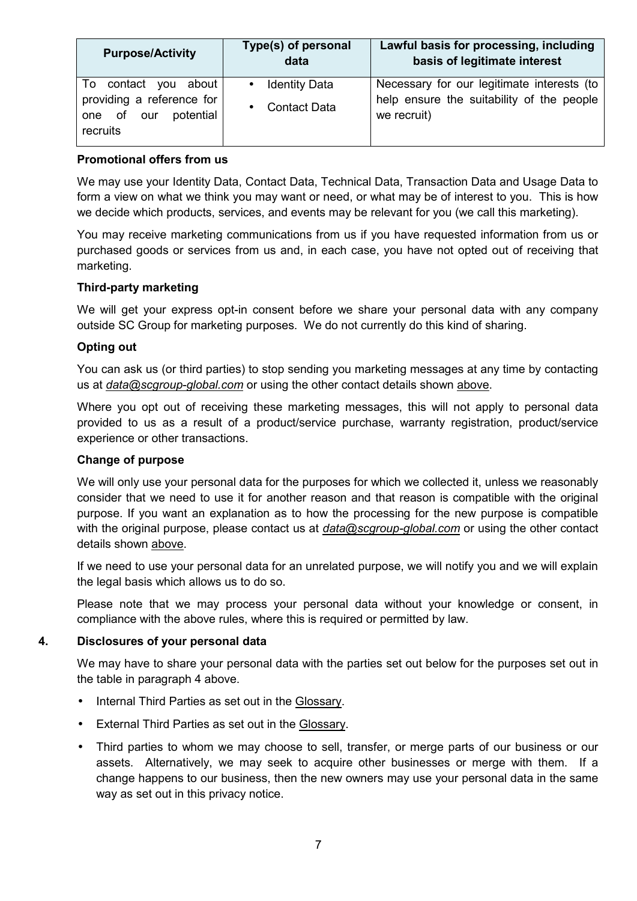<span id="page-6-0"></span>

| <b>Purpose/Activity</b>                                                                  | Type(s) of personal<br>data          | Lawful basis for processing, including<br>basis of legitimate interest                                 |
|------------------------------------------------------------------------------------------|--------------------------------------|--------------------------------------------------------------------------------------------------------|
| To contact you about<br>providing a reference for<br>one of our<br>potential<br>recruits | <b>Identity Data</b><br>Contact Data | Necessary for our legitimate interests (to<br>help ensure the suitability of the people<br>we recruit) |

## **Promotional offers from us**

We may use your Identity Data, Contact Data, Technical Data, Transaction Data and Usage Data to form a view on what we think you may want or need, or what may be of interest to you. This is how we decide which products, services, and events may be relevant for you (we call this marketing).

You may receive marketing communications from us if you have requested information from us or purchased goods or services from us and, in each case, you have not opted out of receiving that marketing.

## **Third-party marketing**

We will get your express opt-in consent before we share your personal data with any company outside SC Group for marketing purposes. We do not currently do this kind of sharing.

## **Opting out**

You can ask us (or third parties) to stop sending you marketing messages at any time by contacting us at *[data@scgroup-global.com](mailto:data@scgroup-global.com)* or using the other contact details shown [above](#page-1-0).

Where you opt out of receiving these marketing messages, this will not apply to personal data provided to us as a result of a product/service purchase, warranty registration, product/service experience or other transactions.

#### **Change of purpose**

We will only use your personal data for the purposes for which we collected it, unless we reasonably consider that we need to use it for another reason and that reason is compatible with the original purpose. If you want an explanation as to how the processing for the new purpose is compatible with the original purpose, please contact us at *[data@scgroup-global.com](mailto:data@scgroup-global.com)* or using the other contact details shown [above.](#page-1-0)

If we need to use your personal data for an unrelated purpose, we will notify you and we will explain the legal basis which allows us to do so.

Please note that we may process your personal data without your knowledge or consent, in compliance with the above rules, where this is required or permitted by law.

#### **4. Disclosures of your personal data**

We may have to share your personal data with the parties set out below for the purposes set out in the table in paragraph 4 above.

- Internal Third Parties as set out in the [Glossary](#page-9-0).
- External Third Parties as set out in the [Glossary](#page-9-0).
- Third parties to whom we may choose to sell, transfer, or merge parts of our business or our assets. Alternatively, we may seek to acquire other businesses or merge with them. If a change happens to our business, then the new owners may use your personal data in the same way as set out in this privacy notice.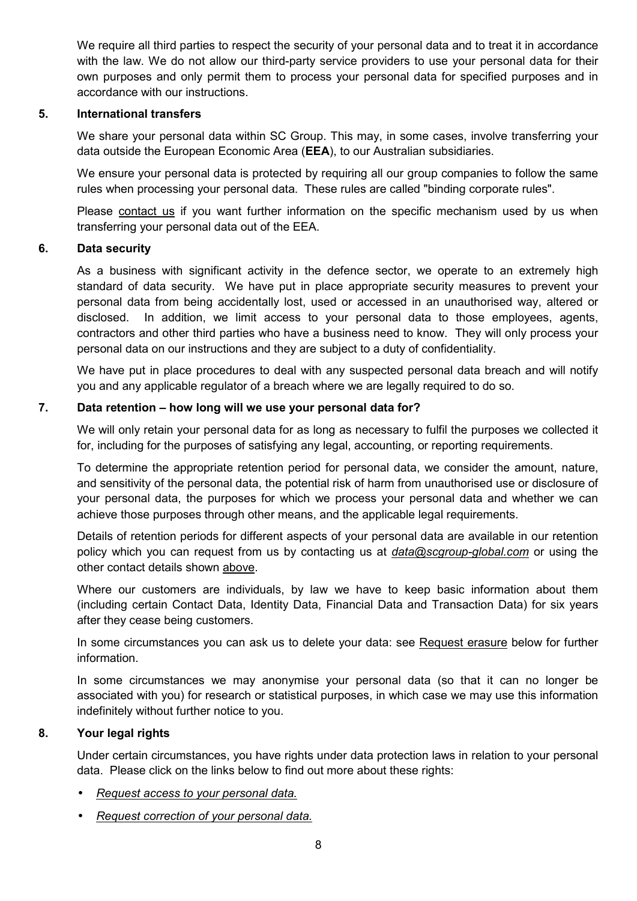<span id="page-7-0"></span>We require all third parties to respect the security of your personal data and to treat it in accordance with the law. We do not allow our third-party service providers to use your personal data for their own purposes and only permit them to process your personal data for specified purposes and in accordance with our instructions.

## **5. International transfers**

We share your personal data within SC Group. This may, in some cases, involve transferring your data outside the European Economic Area (**EEA**), to our Australian subsidiaries.

We ensure your personal data is protected by requiring all our group companies to follow the same rules when processing your personal data. These rules are called "binding corporate rules".

Please [contact us](#page-1-0) if you want further information on the specific mechanism used by us when transferring your personal data out of the EEA.

## **6. Data security**

As a business with significant activity in the defence sector, we operate to an extremely high standard of data security. We have put in place appropriate security measures to prevent your personal data from being accidentally lost, used or accessed in an unauthorised way, altered or disclosed. In addition, we limit access to your personal data to those employees, agents, contractors and other third parties who have a business need to know. They will only process your personal data on our instructions and they are subject to a duty of confidentiality.

We have put in place procedures to deal with any suspected personal data breach and will notify you and any applicable regulator of a breach where we are legally required to do so.

## **7. Data retention – how long will we use your personal data for?**

We will only retain your personal data for as long as necessary to fulfil the purposes we collected it for, including for the purposes of satisfying any legal, accounting, or reporting requirements.

To determine the appropriate retention period for personal data, we consider the amount, nature, and sensitivity of the personal data, the potential risk of harm from unauthorised use or disclosure of your personal data, the purposes for which we process your personal data and whether we can achieve those purposes through other means, and the applicable legal requirements.

Details of retention periods for different aspects of your personal data are available in our retention policy which you can request from us by contacting us at *[data@scgroup-global.com](mailto:data@scgroup-global.com)* or using the other contact details shown [above](#page-1-0).

Where our customers are individuals, by law we have to keep basic information about them (including certain Contact Data, Identity Data, Financial Data and Transaction Data) for six years after they cease being customers.

In some circumstances you can ask us to delete your data: see [Request erasure](#page-9-0) below for further information.

In some circumstances we may anonymise your personal data (so that it can no longer be associated with you) for research or statistical purposes, in which case we may use this information indefinitely without further notice to you.

# **8. Your legal rights**

Under certain circumstances, you have rights under data protection laws in relation to your personal data. Please click on the links below to find out more about these rights:

- *[Request access to your personal data.](#page-9-0)*
- *[Request correction of your personal data.](#page-9-0)*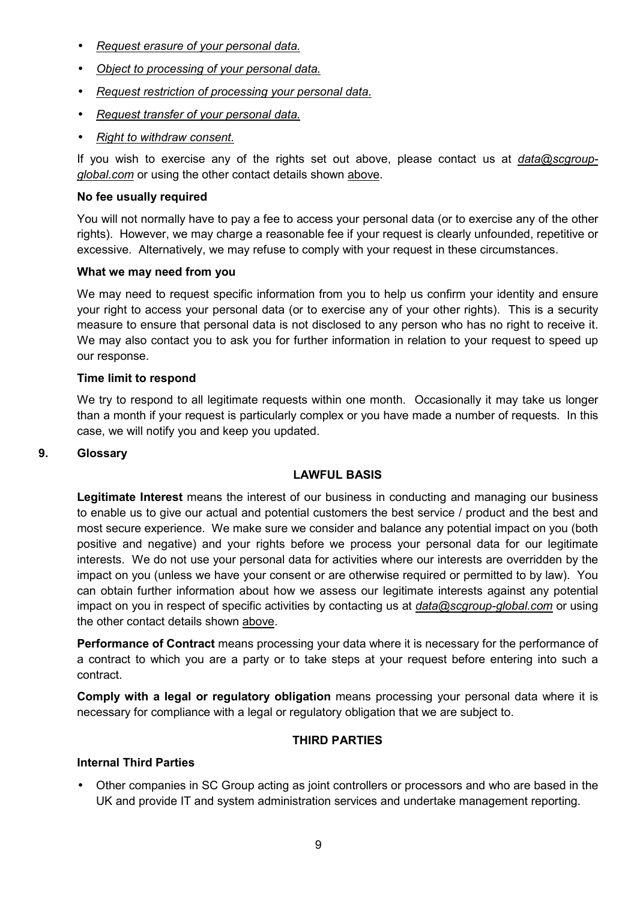- *[Request erasure of your personal data.](#page-9-0)*
- *[Object to processing of your personal data.](#page-9-0)*
- *[Request restriction of processing your personal data.](#page-9-0)*
- *[Request transfer of your personal data.](#page-9-0)*
- *[Right to withdraw consent.](#page-9-0)*

[If you wish to exercise any of the rights set out above, please contact us at](data@scgroup-global.com) *data@scgroupglobal.com* or using the other contact details shown [above.](#page-1-0)

## **No fee usually required**

You will not normally have to pay a fee to access your personal data (or to exercise any of the other rights). However, we may charge a reasonable fee if your request is clearly unfounded, repetitive or excessive. Alternatively, we may refuse to comply with your request in these circumstances.

## **What we may need from you**

We may need to request specific information from you to help us confirm your identity and ensure your right to access your personal data (or to exercise any of your other rights). This is a security measure to ensure that personal data is not disclosed to any person who has no right to receive it. We may also contact you to ask you for further information in relation to your request to speed up our response.

## **Time limit to respond**

We try to respond to all legitimate requests within one month. Occasionally it may take us longer than a month if your request is particularly complex or you have made a number of requests. In this case, we will notify you and keep you updated.

## **9. Glossary**

# **LAWFUL BASIS**

**Legitimate Interest** means the interest of our business in conducting and managing our business to enable us to give our actual and potential customers the best service / product and the best and most secure experience. We make sure we consider and balance any potential impact on you (both positive and negative) and your rights before we process your personal data for our legitimate interests. We do not use your personal data for activities where our interests are overridden by the impact on you (unless we have your consent or are otherwise required or permitted to by law). You can obtain further information about how we assess our legitimate interests against any potential impact on you in respect of specific activities by contacting us at *[data@scgroup-global.com](mailto:data@scgroup-global.com)* or using the other contact details shown [above.](#page-1-0)

**Performance of Contract** means processing your data where it is necessary for the performance of a contract to which you are a party or to take steps at your request before entering into such a contract.

**Comply with a legal or regulatory obligation** means processing your personal data where it is necessary for compliance with a legal or regulatory obligation that we are subject to.

# **THIRD PARTIES**

## **Internal Third Parties**

• Other companies in SC Group acting as joint controllers or processors and who are based in the UK and provide IT and system administration services and undertake management reporting.